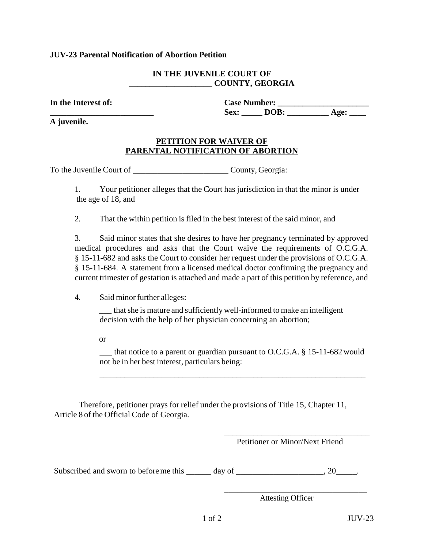## **JUV-23 Parental Notification of Abortion Petition**

#### **IN THE JUVENILE COURT OF \_\_\_\_\_\_\_\_\_\_\_\_\_\_\_\_\_\_\_\_ COUNTY, GEORGIA**

**In the Interest of: Case Number: \_\_\_\_\_\_\_\_\_\_\_\_\_\_\_\_\_\_\_\_\_\_ \_\_\_\_\_\_\_\_\_\_\_\_\_\_\_\_\_\_\_\_\_\_\_\_\_ Sex: \_\_\_\_\_ DOB: \_\_\_\_\_\_\_\_\_\_ Age: \_\_\_\_** 

**A juvenile.** 

# **PETITION FOR WAIVER OF PARENTAL NOTIFICATION OF ABORTION**

To the Juvenile Court of \_\_\_\_\_\_\_\_\_\_\_\_\_\_\_\_\_\_\_\_\_\_\_ County, Georgia:

1. Your petitioner alleges that the Court has jurisdiction in that the minor is under the age of 18, and

2. That the within petition is filed in the best interest of the said minor, and

3. Said minor states that she desires to have her pregnancy terminated by approved medical procedures and asks that the Court waive the requirements of O.C.G.A. § 15-11-682 and asks the Court to consider her request under the provisions of O.C.G.A. § 15-11-684. A statement from a licensed medical doctor confirming the pregnancy and current trimester of gestation is attached and made a part of this petition by reference, and

4. Said minor further alleges:

\_\_\_ that she is mature and sufficiently well-informed to make an intelligent decision with the help of her physician concerning an abortion;

or

\_\_\_ that notice to a parent or guardian pursuant to O.C.G.A. § 15-11-682 would not be in her best interest, particulars being:

\_\_\_\_\_\_\_\_\_\_\_\_\_\_\_\_\_\_\_\_\_\_\_\_\_\_\_\_\_\_\_\_\_\_\_\_\_\_\_\_\_\_\_\_\_\_\_\_\_\_\_\_\_\_\_\_\_\_\_\_\_\_\_\_

Therefore, petitioner prays for relief under the provisions of Title 15, Chapter 11, Article 8 of the Official Code of Georgia.

 $\overline{\phantom{a}}$  , which is a set of the set of the set of the set of the set of the set of the set of the set of the set of the set of the set of the set of the set of the set of the set of the set of the set of the set of th Petitioner or Minor/Next Friend

Subscribed and sworn to before me this \_\_\_\_\_\_ day of \_\_\_\_\_\_\_\_\_\_\_\_\_\_\_\_\_\_\_, 20\_\_\_\_\_.

 $\overline{\phantom{a}}$  , which is a constant of the constant of the constant of the constant of the constant of the constant of the constant of the constant of the constant of the constant of the constant of the constant of the cons

Attesting Officer